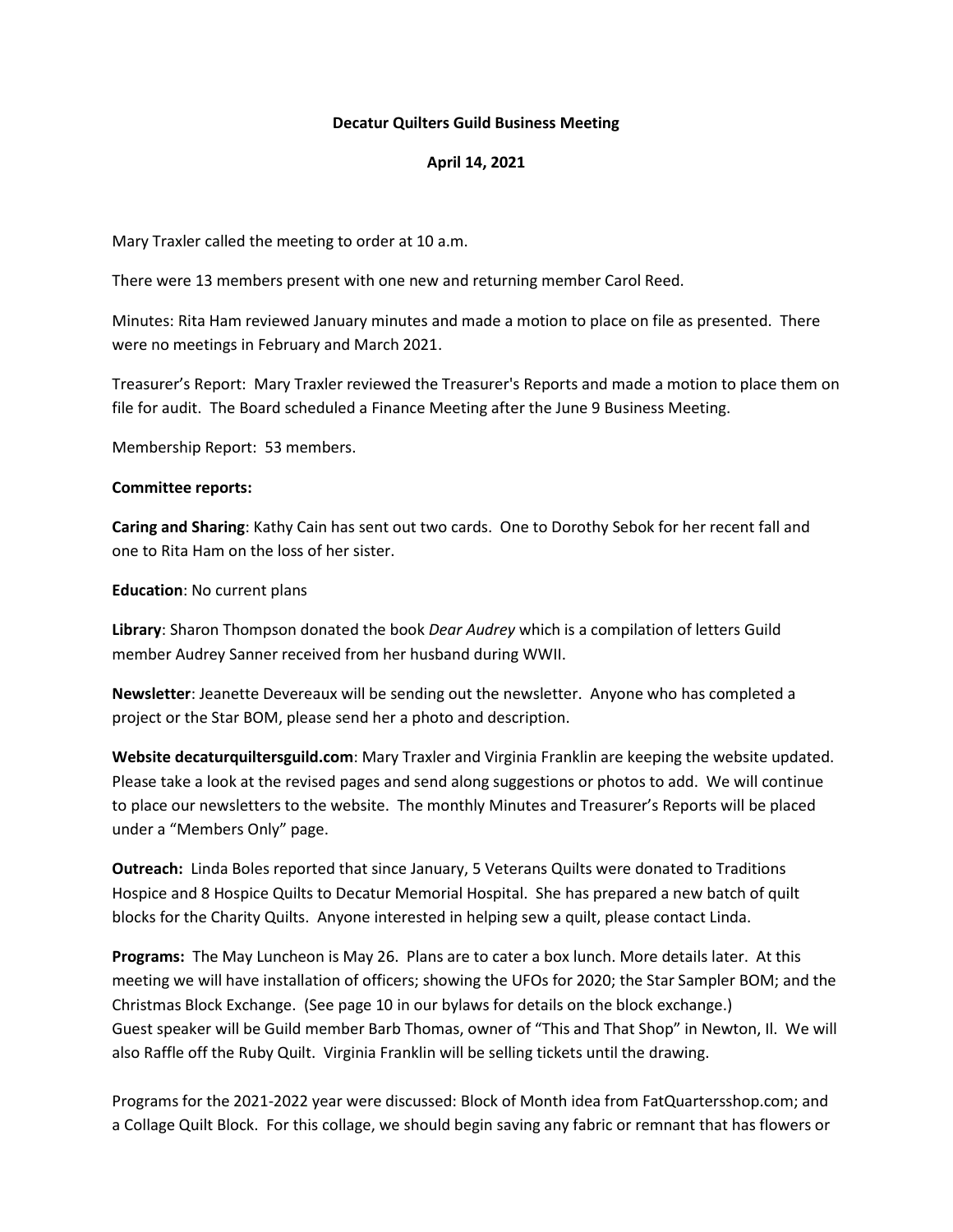### **Decatur Quilters Guild Business Meeting**

## **April 14, 2021**

Mary Traxler called the meeting to order at 10 a.m.

There were 13 members present with one new and returning member Carol Reed.

Minutes: Rita Ham reviewed January minutes and made a motion to place on file as presented. There were no meetings in February and March 2021.

Treasurer's Report: Mary Traxler reviewed the Treasurer's Reports and made a motion to place them on file for audit. The Board scheduled a Finance Meeting after the June 9 Business Meeting.

Membership Report: 53 members.

#### **Committee reports:**

**Caring and Sharing**: Kathy Cain has sent out two cards. One to Dorothy Sebok for her recent fall and one to Rita Ham on the loss of her sister.

#### **Education**: No current plans

**Library**: Sharon Thompson donated the book *Dear Audrey* which is a compilation of letters Guild member Audrey Sanner received from her husband during WWII.

**Newsletter**: Jeanette Devereaux will be sending out the newsletter. Anyone who has completed a project or the Star BOM, please send her a photo and description.

**Website decaturquiltersguild.com**: Mary Traxler and Virginia Franklin are keeping the website updated. Please take a look at the revised pages and send along suggestions or photos to add. We will continue to place our newsletters to the website. The monthly Minutes and Treasurer's Reports will be placed under a "Members Only" page.

**Outreach:** Linda Boles reported that since January, 5 Veterans Quilts were donated to Traditions Hospice and 8 Hospice Quilts to Decatur Memorial Hospital. She has prepared a new batch of quilt blocks for the Charity Quilts. Anyone interested in helping sew a quilt, please contact Linda.

**Programs:** The May Luncheon is May 26. Plans are to cater a box lunch. More details later. At this meeting we will have installation of officers; showing the UFOs for 2020; the Star Sampler BOM; and the Christmas Block Exchange. (See page 10 in our bylaws for details on the block exchange.) Guest speaker will be Guild member Barb Thomas, owner of "This and That Shop" in Newton, Il. We will also Raffle off the Ruby Quilt. Virginia Franklin will be selling tickets until the drawing.

Programs for the 2021-2022 year were discussed: Block of Month idea from FatQuartersshop.com; and a Collage Quilt Block. For this collage, we should begin saving any fabric or remnant that has flowers or